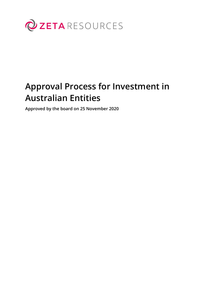

# **Approval Process for Investment in Australian Entities**

**Approved by the board on 25 November 2020**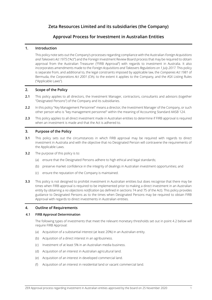# **Zeta Resources Limited and its subsidiaries (the Company)**

# **Approval Process for Investment in Australian Entities**

# **1. Introduction**

This policy note sets out the Company's processes regarding compliance with the Australian *Foreign Acquisitions and Takeovers Act 1975* ("Act") and the Foreign Investment Review Board process that may be required to obtain approval from the Australian Treasurer ("FIRB Approval") with regards to investment in Australia. It also incorporates amendments made to the *Foreign Acquisitions and Takeovers Regulations on 1 July 2017*. This policy is separate from, and additional to, the legal constraints imposed by applicable law, the *Companies Act 1981* of Bermuda, the *Corporations Act 2001 (Cth)*, to the extent it applies to the Company, and the ASX Listing Rules ("Applicable Laws").

# **2. Scope of the Policy**

- **2.1** This policy applies to all directors, the Investment Manager, contractors, consultants and advisors (together "Designated Persons") of the Company and its subsidiaries.
- **2.2** In this policy "Key Management Personnel" means a director, the Investment Manager of the Company, or such other person who is "key management personnel" within the meaning of Accounting Standard AASB 124.
- **2.3** This policy applies to all direct investment made in Australian entities to determine if FIRB approval is required when an investment is made and that the Act is adhered to.

# **3. Purpose of the Policy**

- **3.1** This policy sets out the circumstances in which FIRB approval may be required with regards to direct investment in Australia and with the objective that no Designated Person will contravene the requirements of the Applicable Laws.
- **3.2** The purpose of this policy is to:
	- (a) ensure that the Designated Persons adhere to high ethical and legal standards;
	- (b) preserve market confidence in the integrity of dealings in Australian investment opportunities; and
	- (c) ensure the reputation of the Company is maintained.
- **3.3** This policy is not designed to prohibit investment in Australian entities but does recognise that there may be times when FIRB approval is required to be implemented prior to making a direct investment in an Australian entity by obtaining a *no objections notification* (as defined in sections 74 and 75 of the Act). This policy provides guidance to Designated Persons as to the times when Designated Persons may be required to obtain FIRB Approval with regards to direct investments in Australian entities.

# **4. Outline of Requirements**

# **4.1 FIRB Approval Determination**

The following types of investments that meet the relevant monetary thresholds set out in point 4.2 below will require FIRB Approval:

- (a) Acquisition of a substantial interest (at least 20%) in an Australian entity.
- (b) Acquisition of a direct interest in an agribusiness.
- (c) Investment of at least 5% in an Australian media business.
- (d) Acquisition of an interest in Australian agricultural land.
- (e) Acquisition of an interest in developed commercial land.
- (f) Acquisition of an interest in residential land or vacant commercial land.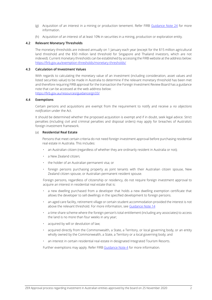- (g) Acquisition of an interest in a mining or production tenement. Refer FIRB [Guidance Note 24](https://firb.gov.au/resources/guidance/gn24/) for more information.
- (h) Acquisition of an interest of at least 10% in securities in a mining, production or exploration entity.

#### **4.2 Relevant Monetary Thresholds**

The monetary thresholds are indexed annually on 1 January each year (except for the \$15 million agricultural land threshold and the \$50 million land threshold for Singapore and Thailand investors, which are not indexed). Current monetary thresholds can be established by accessing the FIRB website at the address below: <https://firb.gov.au/exemption-thresholds/monetary-thresholds/>

#### **4.3 Calculation of Investment Values**

With regards to calculating the monetary value of an investment (including consideration, asset values and listed securities value) to be made in Australia to determine if the relevant monetary threshold has been met and therefore requiring FIRB approval for the transaction the Foreign Investment Review Board has a guidance note that can be accessed at the web address below:

<https://firb.gov.au/resources/guidance/gn33/>

#### **4.4 Exemptions**

Certain persons and acquisitions are exempt from the requirement to notify and receive a *no objections notification* under the Act.

It should be determined whether the proposed acquisition is exempt and if in doubt, seek legal advice. Strict penalties (including civil and criminal penalties and disposal orders) may apply for breaches of Australia's foreign investment framework.

#### (a) **Residential Real Estate**

Persons that meet certain criteria do not need foreign investment approval before purchasing residential real estate in Australia. This includes:

- an Australian citizen (regardless of whether they are ordinarily resident in Australia or not);
- a New Zealand citizen;
- the holder of an Australian permanent visa; or
- foreign persons purchasing property as joint tenants with their Australian citizen spouse, New Zealand citizen spouse, or Australian permanent resident spouse.

Foreign persons, regardless of citizenship or residency, do not require foreign investment approval to acquire an interest in residential real estate that is:

- a new dwelling purchased from a developer that holds a new dwelling exemption certificate that allows the developer to sell dwellings in the specified development to foreign persons.
- an aged care facility, retirement village or certain student accommodation provided the interest is not above the relevant threshold. For more information, see [Guidance Note 14](http://firb-staging.tspace.gov.au/resources/guidance/gn14/)
- a time share scheme where the foreign person's total entitlement (including any associates) to access the land is no more than four weeks in any year;
- acquired by will or devolution of law;
- acquired directly from the Commonwealth, a State, a Territory, or local governing body, or an entity wholly owned by the Commonwealth, a State, a Territory or a local governing body; and
- an interest in certain residential real estate in designated Integrated Tourism Resorts.

Further exemptions may apply. Refer FIRB [Guidance Note 4](https://firb.gov.au/resources/guidance/gn04/) for more information.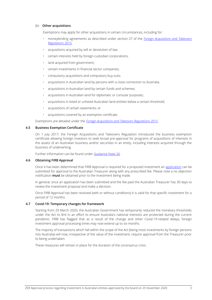#### (b) **Other acquisitions**

Exemptions may apply for other acquisitions in certain circumstances, including for:

- moneylending agreements as described under section 27 of the *[Foreign Acquisitions and Takeovers](https://www.comlaw.gov.au/Details/F2015L01854)  [Regulations 2015](https://www.comlaw.gov.au/Details/F2015L01854)*;
- acquisitions acquired by will or devolution of law;
- certain interests held by foreign custodian corporations;
- land acquired from government;
- certain investments in financial sector companies;
- compulsory acquisitions and compulsory buy-outs;
- acquisitions in Australian land by persons with a close connection to Australia;
- acquisitions in Australian land by certain funds and schemes;
- acquisitions in Australian land for diplomatic or consular purposes;
- acquisitions in listed or unlisted Australian land entities below a certain threshold;
- acquisitions of certain easements; or
- acquisitions covered by an exemption certificate.

Exemptions are detailed under the *[Foreign Acquisitions and Takeovers Regulations 2015](https://www.comlaw.gov.au/Details/F2015L01854)*.

#### **4.5 Business Exemption Certificate**

On 1 July 2017, the Foreign Acquisitions and Takeovers Regulation introduced the business exemption certificate allowing foreign investors to seek broad pre-approval for programs of acquisitions of interests in the assets of an Australian business and/or securities in an entity, including interests acquired through the business of underwriting.

Further information can be found unde[r Guidance Note 26.](http://firb-staging.tspace.gov.au/resources/guidance/gn14/)

# **4.6 Obtaining FIRB Approval**

Once it has been determined that FIRB Approval is required for a proposed investment an [application](https://firb.gov.au/applications/) can be submitted for approval to the Australian Treasurer along with any prescribed fee. Please note a no objection notification **must** be obtained prior to the investment being made.

In general, once an application has been submitted and the fee paid the Australian Treasurer has 30 days to review the investment proposal and make a decision.

Once FIRB Approval has been received (with or without conditions) it is valid for that specific investment for a period of 12 months.

# **4.7 Covid-19: Temporary changes for framework**

Starting from 29 March 2020, the Australian Government has temporarily reduced the monetary thresholds under the Act to \$nil in an effort to ensure Australia's national interests are protected during the current pandemic. FIRB has flagged that as a result of the change and other Covid-19-related delays, foreign investment approval processing times may now extend up to six months.

The majority of transactions which fall within the scope of the Act (being most investments by foreign persons into Australia) will now, irrespective of the value of the investment, require approval from the Treasurer prior to being undertaken.

These measures will remain in place for the duration of the coronavirus crisis.